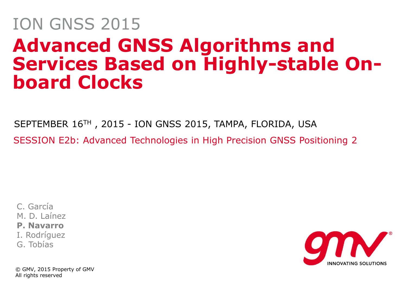### **Advanced GNSS Algorithms and Services Based on Highly-stable Onboard Clocks** ION GNSS 2015

SEPTEMBER 16TH , 2015 - ION GNSS 2015, TAMPA, FLORIDA, USA SESSION E2b: Advanced Technologies in High Precision GNSS Positioning 2

C. García M. D. Laínez **P. Navarro** I. Rodríguez G. Tobías

© GMV, 2015 Property of GMV All rights reserved

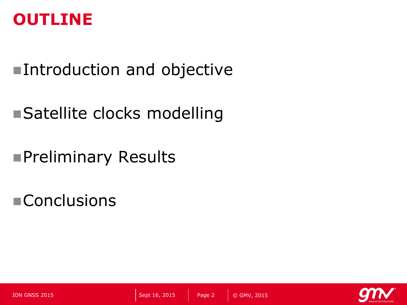#### **OUTLINE**

### ■Introduction and objective

### ■Satellite clocks modelling

Preliminary Results

**Conclusions** 

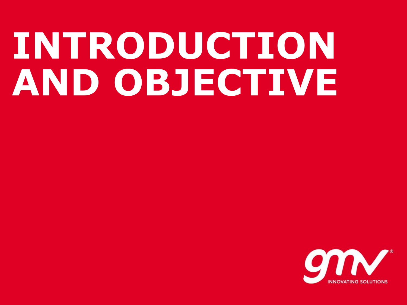# **INTRODUCTION AND OBJECTIVE**

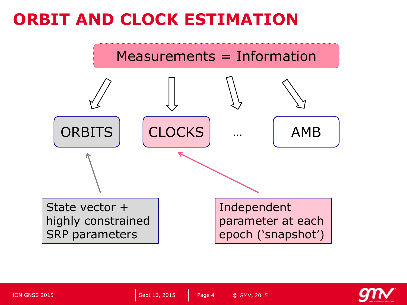#### **ORBIT AND CLOCK ESTIMATION**



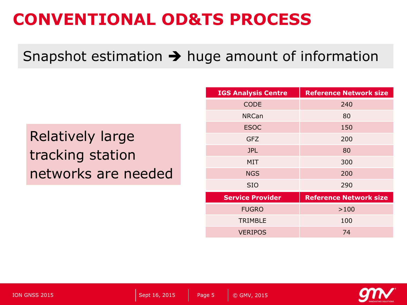#### **CONVENTIONAL OD&TS PROCESS**

#### Snapshot estimation  $\rightarrow$  huge amount of information

Relatively large tracking station networks are needed

| <b>IGS Analysis Centre</b> | <b>Reference Network size</b> |  |  |
|----------------------------|-------------------------------|--|--|
| <b>CODE</b>                | 240                           |  |  |
| <b>NRCan</b>               | 80                            |  |  |
| <b>ESOC</b>                | 150                           |  |  |
| <b>GFZ</b>                 | 200                           |  |  |
| <b>JPL</b>                 | 80                            |  |  |
| <b>MIT</b>                 | 300                           |  |  |
| <b>NGS</b>                 | 200                           |  |  |
| <b>SIO</b>                 | 290                           |  |  |
| <b>Service Provider</b>    | <b>Reference Network size</b> |  |  |
| <b>FUGRO</b>               | >100                          |  |  |
| <b>TRIMBLE</b>             | 100                           |  |  |
| <b>VERIPOS</b>             | 74                            |  |  |

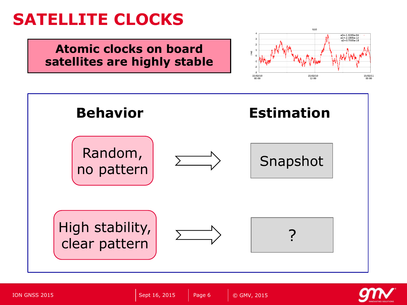#### **SATELLITE CLOCKS**

#### **Atomic clocks on board satellites are highly stable**





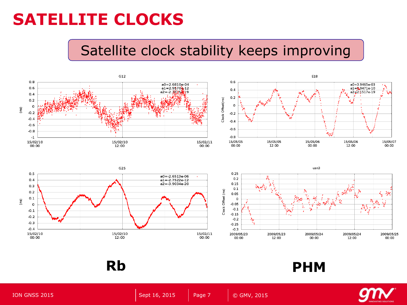#### **SATELLITE CLOCKS**

#### Satellite clock stability keeps improving











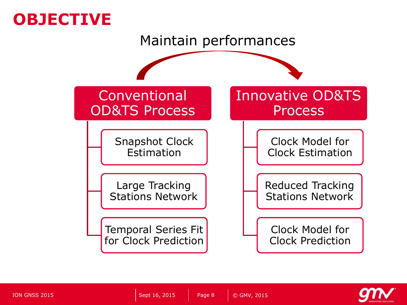#### **OBJECTIVE**



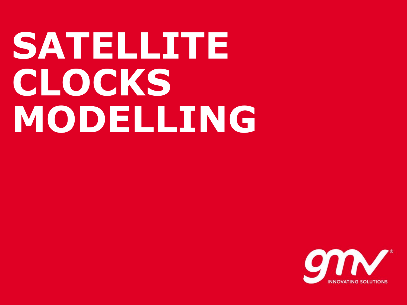# **SATELLITE CLOCKS MODELLING**

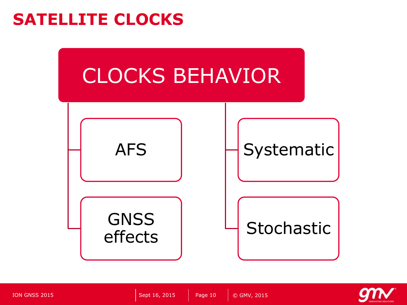#### **SATELLITE CLOCKS**



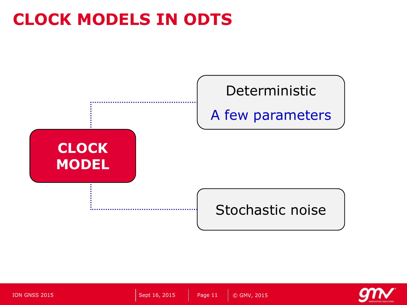#### **CLOCK MODELS IN ODTS**



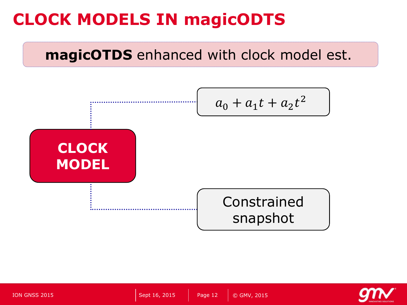#### **CLOCK MODELS IN magicODTS**

#### **magicOTDS** enhanced with clock model est.



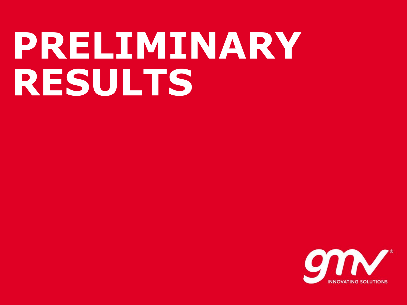### **PRELIMINARY RESULTS**

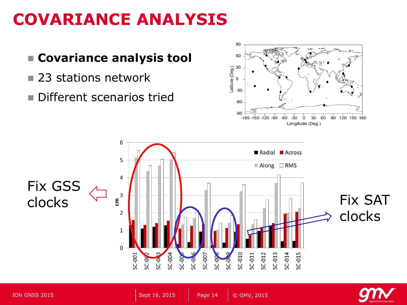#### **COVARIANCE ANALYSIS**





**P-02** 

SC-004

SC-00

**SC-00** 

 $\Omega$ 

SC-001

SC-007

SC-011

SC-012

SC-013

SC-014

SC-015

SC-010

SC-0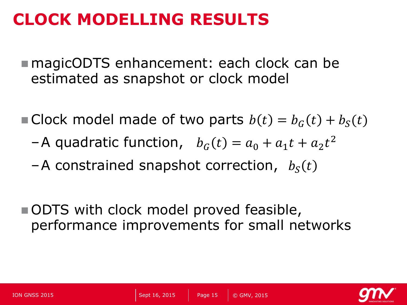#### **CLOCK MODELLING RESULTS**

- magicODTS enhancement: each clock can be estimated as snapshot or clock model
- Clock model made of two parts  $b(t) = b<sub>c</sub>(t) + b<sub>s</sub>(t)$ 
	- -A quadratic function,  $b_G(t) = a_0 + a_1 t + a_2 t^2$
	- $-A$  constrained snapshot correction,  $b_S(t)$
- ODTS with clock model proved feasible, performance improvements for small networks

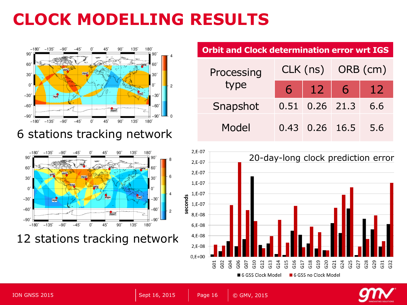### **CLOCK MODELLING RESULTS**



6 stations tracking network



12 stations tracking network

#### **Orbit and Clock determination error wrt IGS**

| Processing<br>type |  |                    | CLK (ns) ORB (cm) |     |
|--------------------|--|--------------------|-------------------|-----|
|                    |  | $6 \mid 12 \mid 6$ |                   | 12  |
| Snapshot           |  | $0.51$ 0.26 21.3   |                   | 6.6 |
| Model              |  | $0.43$ 0.26 16.5   |                   | 5.6 |





© GMV, 2015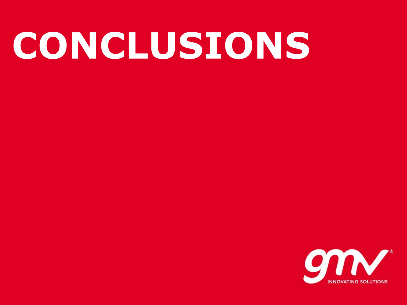# **CONCLUSIONS**

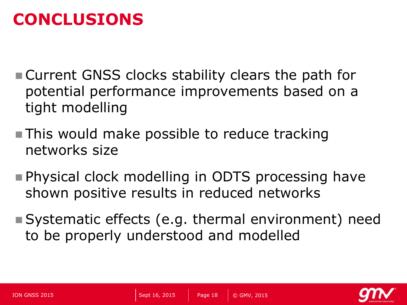#### **CONCLUSIONS**

- Current GNSS clocks stability clears the path for potential performance improvements based on a tight modelling
- **This would make possible to reduce tracking** networks size
- **Physical clock modelling in ODTS processing have** shown positive results in reduced networks
- Systematic effects (e.g. thermal environment) need to be properly understood and modelled